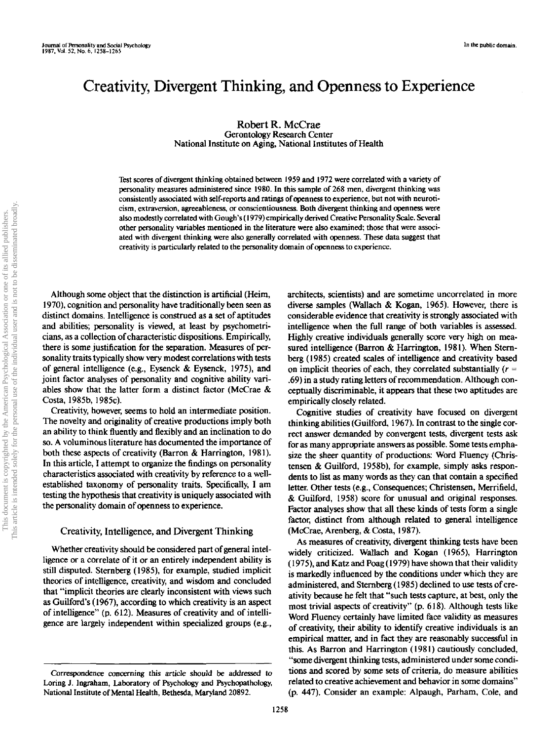# Creativity, Divergent Thinking, and Openness to Experience

Robert R. McCrae Gerontology Research Center National Institute on Aging, National Institutes of Health

Test scores of divergent thinking obtained between 1959 and 1972 were correlated with a variety of personality measures administered since 1980. In this sample of 268 men, divergent thinking was consistently associated with self-reports and ratings of openness to experience, but not with neuroticism, extraversion, agreeableness, or conscientiousness. Both divergent thinking and openness were also modestly correlated with Cough's (1979) empirically derived Creative Personality Scale. Several other personality variables mentioned in the literature were also examined; those that were associated with divergent thinking were also generally correlated with openness. These data suggest that creativity is particularly related to the personality domain of openness to experience.

Although some object that the distinction is artificial (Heim, 1970), cognition and personality have traditionally been seen as distinct domains. Intelligence is construed as a set of aptitudes and abilities; personality is viewed, at least by psychometricians, as a collection of characteristic dispositions. Empirically, there is some justification for the separation. Measures of personality traits typically show very modest correlations with tests of general intelligence (e.g., Eysenck & Eysenck, 1975), and joint factor analyses of personality and cognitive ability variables show that the latter form a distinct factor (McCrae & Costa, 1985b, 1985c).

Creativity, however, seems to hold an intermediate position. The novelty and originality of creative productions imply both an ability to think fluently and flexibly and an inclination to do so. A voluminous literature has documented the importance of both these aspects of creativity (Barron & Harrington, 1981). In this article, I attempt to organize the findings on personality characteristics associated with creativity by reference to a wellestablished taxonomy of personality traits. Specifically, I am testing the hypothesis that creativity is uniquely associated with the personality domain of openness to experience.

## Creativity, Intelligence, and Divergent Thinking

Whether creativity should be considered part of general intelligence or a correlate of it or an entirely independent ability is still disputed. Sternberg (1985), for example, studied implicit theories of intelligence, creativity, and wisdom and concluded that "implicit theories are clearly inconsistent with views such as Guilford's (1967), according to which creativity is an aspect of intelligence" (p. 612). Measures of creativity and of intelligence are largely independent within specialized groups (e.g.,

architects, scientists) and are sometime uncorrelated in more diverse samples (Wallach & Kogan, 1965). However, there is considerable evidence that creativity is strongly associated with intelligence when the full range of both variables is assessed. Highly creative individuals generally score very high on measured intelligence (Barron & Harrington, 1981). When Sternberg (1985) created scales of intelligence and creativity based on implicit theories of each, they correlated substantially *(r =* .69) in a study rating letters of recommendation. Although conceptually discriminable, it appears that these two aptitudes are empirically closely related.

Cognitive studies of creativity have focused on divergent thinking abilities (Guilford, 1967). In contrast to the single correct answer demanded by convergent tests, divergent tests ask for as many appropriate answers as possible. Some tests emphasize the sheer quantity of productions: Word Fluency (Christensen & Guilford, 1958b), for example, simply asks respondents to list as many words as they can that contain a specified letter. Other tests (e.g., Consequences; Christensen, Merrifield, & Guilford, 1958) score for unusual and original responses. Factor analyses show that all these kinds of tests form a single factor, distinct from although related to general intelligence (McCrae, Arenberg, & Costa, 1987).

As measures of creativity, divergent thinking tests have been widely criticized. Wallach and Kogan (1965), Harrington (1975), and Katz and Poag (1979) have shown that their validity is markedly influenced by the conditions under which they are administered, and Sternberg(1985) declined to use tests of creativity because he felt that "such tests capture, at best, only the most trivial aspects of creativity" (p. 618). Although tests like Word Fluency certainly have limited face validity as measures of creativity, their ability to identify creative individuals is an empirical matter, and in fact they are reasonably successful in this. As Barren and Harrington (1981) cautiously concluded, "some divergent thinking tests, administered under some conditions and scored by some sets of criteria, do measure abilities related to creative achievement and behavior in some domains" (p. 447). Consider an example: Alpaugh, Parham, Cole, and

Correspondence concerning this article should be addressed to Loring J. Ingraham, Laboratory of Psychology and Psychopathology, National Institute of Mental Health, Bethesda, Maryland 20892.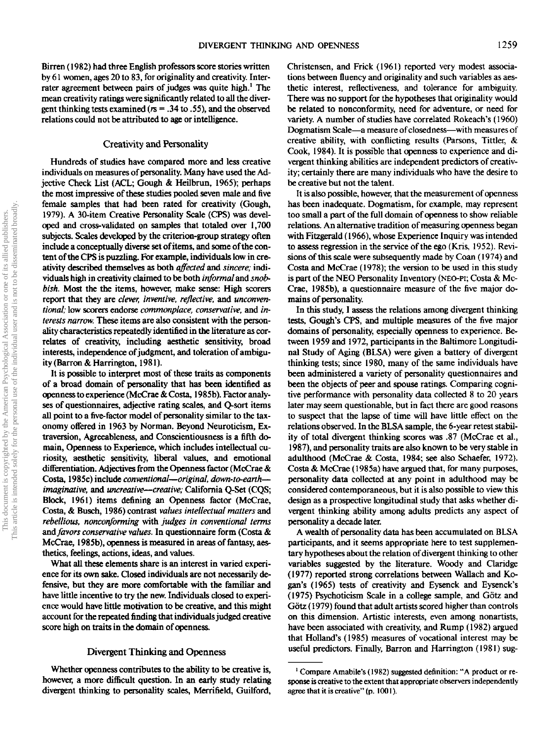Birren (1982) had three English professors score stories written by 61 women, ages 20 to 83, for originality and creativity. Interrater agreement between pairs of judges was quite high.<sup>1</sup> The mean creativity ratings were significantly related to all the divergent thinking tests examined ( $r = .34$  to .55), and the observed relations could not be attributed to age or intelligence.

# Creativity and Personality

Hundreds of studies have compared more and less creative individuals on measures of personality. Many have used the Adjective Check List (ACL; Gough & Heilbrun, 1965); perhaps the most impressive of these studies pooled seven male and five female samples that had been rated for creativity (Gough, 1979). A 30-item Creative Personality Scale (CPS) was developed and cross-validated on samples that totaled over 1,700 subjects. Scales developed by the criterion-group strategy often include a conceptually diverse set of items, and some of the content of the CPS is puzzling. For example, individuals low in creativity described themselves as both *affected and sincere;* individuals high in creativity claimed to be both *informal* and *snobbish.* Most the the items, however, make sense: High scorers report that they are *clever, inventive, reflective,* and *unconventional;* low scorers endorse *commonplace, conservative,* and *interests narrow.* These items are also consistent with the personality characteristics repeatedly identified in the literature as correlates of creativity, including aesthetic sensitivity, broad interests, independence of judgment, and toleration of ambiguity (Barren & Harrington, 1981).

It is possible to interpret most of these traits as components of a broad domain of personality that has been identified as openness to experience (McCrae & Costa, 1985b). Factor analyses of questionnaires, adjective rating scales, and Q-sort items all point to a five-factor model of personality similar to the taxonomy offered in 1963 by Norman. Beyond Neuroticism, Extraversion, Agreeableness, and Conscientiousness is a fifth domain, Openness to Experience, which includes intellectual curiosity, aesthetic sensitivity, liberal values, and emotional differentiation. Adjectives from the Openness factor (McCrae & Costa, 1985c) include *conventional*—*original, down-to-earth imaginative,* and *uncreative*—*creative;* California Q-Set (CQS; Block, 1961) items defining an Openness factor (McCrae, Costa, & Busch, 1986) contrast *values intellectual matters* and *rebellious, nonconforming* with *judges in conventional terms and favors conservative values.* In questionnaire form (Costa & McCrae, 1985b), openness is measured in areas of fantasy, aesthetics, feelings, actions, ideas, and values.

What all these elements share is an interest in varied experience for its own sake. Closed individuals are not necessarily defensive, but they are more comfortable with the familiar and have little incentive to try the new. Individuals closed to experience would have little motivation to be creative, and this might account for the repeated finding that individuals judged creative score high on traits in the domain of openness.

# Divergent Thinking and Openness

Whether openness contributes to the ability to be creative is, however, a more difficult question. In an early study relating divergent thinking to personality scales, Merrifield, Guilford, Christensen, and Frick (1961) reported very modest associations between fluency and originality and such variables as aesthetic interest, reflectiveness, and tolerance for ambiguity. There was no support for the hypotheses that originality would be related to nonconformity, need for adventure, or need for variety. A number of studies have correlated Rokeach's (1960) Dogmatism Scale—a measure of closedness—with measures of creative ability, with conflicting results (Parsons, Tittler,  $\&$ Cook, 1984). It is possible that openness to experience and divergent thinking abilities are independent predictors of creativity; certainly there are many individuals who have the desire to be creative but not the talent.

It is also possible, however, that the measurement of openness has been inadequate. Dogmatism, for example, may represent too small a part of the full domain of openness to show reliable relations. An alternative tradition of measuring openness began with Fitzgerald (1966), whose Experience Inquiry was intended to assess regression in the service of the ego (Kris, 1952). Revisions of this scale were subsequently made by Coan (1974) and Costa and McCrae (1978); the version to be used in this study is part of the NEO Personality Inventory (NEO-PI; Costa & Mc-Crae, 1985b), a questionnaire measure of the five major domains of personality.

In this study, I assess the relations among divergent thinking tests, Cough's CPS, and multiple measures of the five major domains of personality, especially openness to experience. Between 1959 and 1972, participants in the Baltimore Longitudinal Study of Aging (BLSA) were given a battery of divergent thinking tests; since 1980, many of the same individuals have been administered a variety of personality questionnaires and been the objects of peer and spouse ratings. Comparing cognitive performance with personality data collected 8 to 20 years later may seem questionable, but in fact there are good reasons to suspect that the lapse of time will have little effect on the relations observed. In the BLSA sample, the 6-year retest stability of total divergent thinking scores was .87 (McCrae et al., 1987), and personality traits are also known to be very stable in adulthood (McCrae & Costa, 1984; see also Schaefer, 1972). Costa & McCrae (1985a) have argued that, for many purposes, personality data collected at any point in adulthood may be considered contemporaneous, but it is also possible to view this design as a prospective longitudinal study that asks whether divergent thinking ability among adults predicts any aspect of personality a decade later.

A wealth of personality data has been accumulated on BLSA participants, and it seems appropriate here to test supplementary hypotheses about the relation of divergent thinking to other variables suggested by the literature. Woody and Claridge (1977) reported strong correlations between Wallach and Kogan's (1965) tests of creativity and Eysenck and Eysenck's (1975) Psychoticism Scale in a college sample, and Gotz and Götz (1979) found that adult artists scored higher than controls on this dimension. Artistic interests, even among nonartists, have been associated with creativity, and Rump (1982) argued that Holland's (1985) measures of vocational interest may be useful predictors. Finally, Barron and Harrington (1981) sug-

<sup>&#</sup>x27; Compare Amabile's (1982) suggested definition: "A product or response is creative to the extent that appropriate observers independently agree that it is creative" (p. 1001).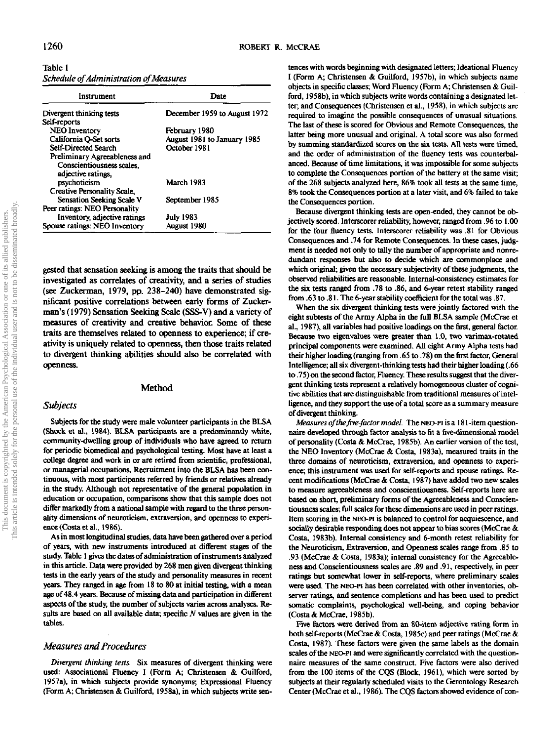| Table 1 |                                        |  |
|---------|----------------------------------------|--|
|         | Schedule of Administration of Measures |  |

| Instrument                    | Date                         |  |  |
|-------------------------------|------------------------------|--|--|
| Divergent thinking tests      | December 1959 to August 1972 |  |  |
| Self-reports                  |                              |  |  |
| NEO Inventory                 | February 1980                |  |  |
| California Q-Set sorts        | August 1981 to January 1985  |  |  |
| Self-Directed Search          | October 1981                 |  |  |
| Preliminary Agreeableness and |                              |  |  |
| Conscientiousness scales.     |                              |  |  |
| adjective ratings,            |                              |  |  |
| psychoticism                  | March 1983                   |  |  |
| Creative Personality Scale.   |                              |  |  |
| Sensation Seeking Scale V     | September 1985               |  |  |
| Peer ratings: NEO Personality |                              |  |  |
| Inventory, adjective ratings  | <b>July 1983</b>             |  |  |
| Spouse ratings: NEO Inventory | August 1980                  |  |  |

gested that sensation seeking is among the traits that should be investigated as correlates of creativity, and a series of studies (see Zuckerman, 1979, pp. 238-240) have demonstrated significant positive correlations between early forms of Zuckerman's (1979) Sensation Seeking Scale (SSS-V) and a variety of measures of creativity and creative behavior. Some of these traits are themselves related to openness to experience; if creativity is uniquely related to openness, then those traits related to divergent thinking abilities should also be correlated with openness.

#### Method

# *Subjects*

Subjects for the study were male volunteer participants in the BLSA (Shock et al., 1984). BLSA participants are a predominantly white, community-dwelling group of individuals who have agreed to return for periodic biomedical and psychological testing. Most have at least a college degree and work in or are retired from scientific, professional, or managerial occupations. Recruitment into the BLSA has been continuous, with most participants referred by friends or relatives already in the study. Although not representative of the general population in education or occupation, comparisons show that this sample does not differ markedly from a national sample with regard to the three personality dimensions of neuroticism, extraversion, and openness to experience (Costa etal., 1986).

As in most longitudinal studies, data have been gathered over a period of years, with new instruments introduced at different stages of the study. Table 1 gives the dates of administration of instruments analyzed in this article. Data were provided by 268 men given divergent thinking tests in the early years of the study and personality measures in recent years. They ranged in age from 18 to 80 at initial testing, with a mean age of 48.4 years. Because of missing data and participation in different aspects of the study, the number of subjects varies across analyses. Results are based on all available data; specific *N* values are given in the tables.

# *Measures and Procedures*

*Divergent thinking tests.* Six measures of divergent thinking were used: Associations! Fluency I (Form A; Christensen *&* Guilford, 1957a), in which subjects provide synonyms; Expressional Fluency (Form A; Christensen & Guilford, 1958a), in which subjects write sentences with words beginning with designated letters; Ideational Fluency I (Form A; Christensen & Guilford, 1957b), in which subjects name objects in specific classes; Word Fluency (Form A; Christensen & Guilford, 1958b), in which subjects write words containing a designated letter, and Consequences (Christensen et al., 1958), in which subjects are required to imagine the possible consequences of unusual situations. The last of these is scored for Obvious and Remote Consequences, the latter being more unusual and original. A total score was also formed by summing standardized scores on the six tests. All tests were timed, and the order of administration of the fluency tests was counterbalanced. Because of time limitations, it was impossible for some subjects to complete the Consequences portion of the battery at the same visit; of the 268 subjects analyzed here, 86% took all tests at the same time, 8% took the Consequences portion at a later visit, and 6% failed to take the Consequences portion.

Because divergent thinking tests are open-ended, they cannot be objectively scored. Interscorer reliability, however, ranged from .96 to 1.00 for the four fluency tests. Interscorer reliability was .81 for Obvious Consequences and .74 for Remote Consequences. In these cases, judgment is needed not only to tally the number of appropriate and nonredundant responses but also to decide which are commonplace and which original; given the necessary subjectivity of these judgments, the observed reliabilities are reasonable. Internal-consistency estimates for the six tests ranged from .78 to .86, and 6-year retest stability ranged from .63 to .81. The 6-year stability coefficient for the total was .87.

When the six divergent thinking tests were jointly factored with the eight subtests of the Army Alpha in the full BLSA sample (McCrae et al., 1987), all variables had positive loadings on the first, general factor. Because two eigenvalues were greater than 1.0, two varimax-rotated principal components were examined. All eight Army Alpha tests had their higher loading (ranging from .65 to .78) on the first factor, General Intelligence; all six divergent-thinking tests had their higher loading (.66 to .75) on the second factor, Fluency. These results suggest that the divergent thinking tests represent a relatively homogeneous cluster of cognitive abilities that are distinguishable from traditional measures of intelligence, and they support the use of a total score as a summary measure of divergent thinking.

*Measures of the Jive-factor model.* The NEO-PI is a 181 -item questionnaire developed through factor analysis to fit a five-dimensional model of personality (Costa & McCrae, 1985b). An earlier version of the test, the NEO Inventory (McCrae & Costa, I983a), measured traits in the three domains of neuroticism, extraversion, and openness to experience; this instrument was used for self-reports and spouse ratings. Recent modifications (McCrae & Costa, 1987) have added two new scales to measure agreeableness and conscientiousness. Self-reports here are based on short, preliminary forms of the Agreeableness and Conscientiousness scales; full scales for these dimensions are used in peer ratings. Item scoring in the NEO-PI is balanced to control for acquiescence, and socially desirable responding does not appear to bias scores (McCrae *&* Costa, 1983b). Internal consistency and 6-month retest reliability for the Neuroticism, Extraversion, and Openness scales range from .85 to .93 (McCrae & Costa, 1983a); internal consistency for the Agreeableness and Conscientiousness scales are .89 and .91, respectively, in peer ratings but somewhat lower in self-reports, where preliminary scales were used. The NEO-PI has been correlated with other inventories, observer ratings, and sentence completions and has been used to predict somatic complaints, psychological well-being, and coping behavior (Costa & McCrae, 1985b).

Five factors were derived from an 80-item adjective rating form in both self-reports (McCrae & Costa, 1985c) and peer ratings (McCrae *&* Costa, 1987). These factors were given the same labels as the domain scales of the NEO-PI and were significantly correlated with the questionnaire measures of the same construct. Five factors were also derived from the 100 items of the CQS (Block, 1961), which were sorted by subjects at their regularly scheduled visits to the Gerontology Research Center (McCrae et al., 1986). The CQS factors showed evidence of con-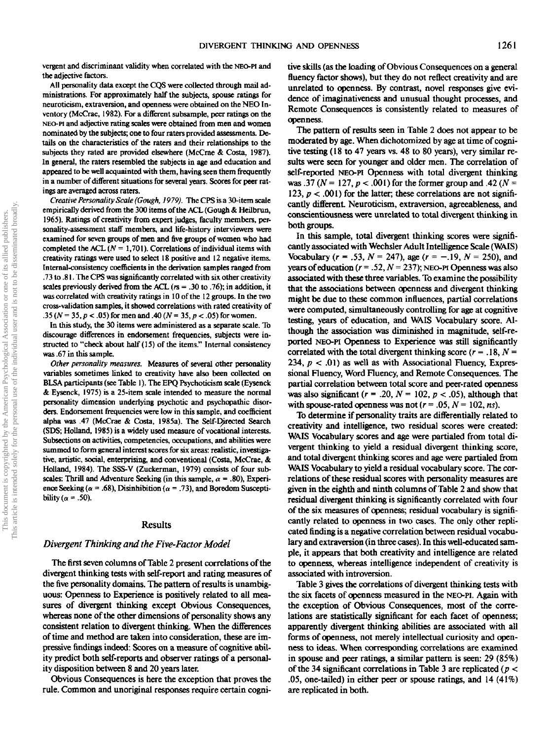vergent and discriminant validity when correlated with the NEO-PI and the adjective factors.

All personality data except the CQS were collected through mail administrations. For approximately half the subjects, spouse ratings for neuroticism, extraversion, and openness were obtained on the NEO Inventory (McCrae, 1982). For a different subsample, peer ratings on the NEO-PI and adjective rating scales were obtained from men and women nominated by the subjects; one to four raters provided assessments. Details on the characteristics of the raters and their relationships to the subjects they rated are provided elsewhere (McCrae & Costa, 1987). In general, the raters resembled the subjects in age and education and appeared to be well acquainted with them, having seen them frequently in a number of different situations for several years. Scores for peer ratings are averaged across raters.

*Creative Personality Scale (Gough, 1979).* TheCPSisa30-itemscale empirically derived from the 300 items of the ACL (Cough & Heilbrun, 1965). Ratings of creativity from expert judges, faculty members, personality-assessment staff members, and life-history interviewers were examined for seven groups of men and five groups of women who had completed the ACL  $(N = 1,701)$ . Correlations of individual items with creativity ratings were used to select 18 positive and 12 negative items. Internal-consistency coefficients in the derivation samples ranged from .73 to .81. The CPS was significantly correlated with six other creativity scales previously derived from the ACL ( $rs = .30$  to .76); in addition, it was correlated with creativity ratings in 10 of the 12 groups. In the two cross-validation samples, it showed correlations with rated creativity of .35 *(N =* 35, *p <* .05) for men and .40 *(N =* 35, *p <* .05) for women.

In this study, the 30 items were administered as a separate scale. To discourage differences in endorsement frequencies, subjects were instructed to "check about half (15) of the items." Internal consistency was .67 in this sample.

*Other personality measures.* Measures of several other personality variables sometimes linked to creativity have also been collected on BLSA participants (see Table I). The EPQ Psychoticism scale (Eysenck & Eysenck, 1975) is a 25-item scale intended to measure the normal personality dimension underlying psychotic and psychopathic disorders. Endorsement frequencies were low in this sample, and coefficient alpha was .47 (McCrae & Costa, 1985a). The Self-Directed Search (SDS; Holland, 1985) is a widely used measure of vocational interests. Subsections on activities, competencies, occupations, and abilities were summed to form general interest scores for six areas: realistic, investigative, artistic, social, enterprising, and conventional (Costa, McCrae, *&* Holland, 1984). The SSS-V (Zuckerman, 1979) consists of four subscales: Thrill and Adventure Seeking (in this sample,  $\alpha$  = .80), Experience Seeking ( $\alpha = .68$ ), Disinhibition ( $\alpha = .73$ ), and Boredom Susceptibility ( $\alpha$  = .50).

#### Results

# *Divergent Thinking and the Five-Factor Model*

The first seven columns of Table 2 present correlations of the divergent thinking tests with self-report and rating measures of the five personality domains. The pattern of results is unambiguous: Openness to Experience is positively related to all measures of divergent thinking except Obvious Consequences, whereas none of the other dimensions of personality shows any consistent relation to divergent thinking. When the difierences of time and method are taken into consideration, these are impressive findings indeed: Scores on a measure of cognitive ability predict both self-reports and observer ratings of a personality disposition between 8 and 20 years later.

Obvious Consequences is here the exception that proves the rule. Common and unoriginal responses require certain cognitive skills (as the loading of Obvious Consequences on a general fluency factor shows), but they do not reflect creativity and are unrelated to openness. By contrast, novel responses give evidence of imaginativeness and unusual thought processes, and Remote Consequences is consistently related to measures of openness.

The pattern of results seen in Table 2 does not appear to be moderated by age. When dichotomized by age at time of cognitive testing (18 to 47 years vs. 48 to 80 years), very similar results were seen for younger and older men. The correlation of self-reported NEO-PI Openness with total divergent thinking was .37 *(N =* 127, *p* < .001) for the former group and .42 *(N* = 123,  $p < .001$ ) for the latter; these correlations are not significantly different. Neuroticism, extraversion, agreeableness, and conscientiousness were unrelated to total divergent thinking in both groups.

In this sample, total divergent thinking scores were significantly associated with Wechsler Adult Intelligence Scale (WAIS) Vocabulary ( $r = .53$ ,  $N = 247$ ), age ( $r = -.19$ ,  $N = 250$ ), and years of education  $(r = .52, N = 237)$ ; NEO-PI Openness was also associated with these three variables. To examine the possibility that the associations between openness and divergent thinking might be due to these common influences, partial correlations were computed, simultaneously controlling for age at cognitive testing, years of education, and WAIS Vocabulary score. Although the association was diminished in magnitude, self-reported NEO-PI Openness to Experience was still significantly correlated with the total divergent thinking score *(r* = .18, *N =* 234, *p <* .01) as well as with Associational Fluency, Expressional Fluency, Word Fluency, and Remote Consequences. The partial correlation between total score and peer-rated openness was also significant  $(r = .20, N = 102, p < .05)$ , although that with spouse-rated openness was not  $(r = .05, N = 102, ns)$ .

To determine if personality traits are differentially related to creativity and intelligence, two residual scores were created: WAIS Vocabulary scores and age were partialed from total divergent thinking to yield a residual divergent thinking score, and total divergent thinking scores and age were partialed from WAIS Vocabulary to yield a residual vocabulary score. The correlations of these residual scores with personality measures are given in the eighth and ninth columns of Table 2 and show that residual divergent thinking is significantly correlated with four of the six measures of openness; residual vocabulary is significantly related to openness in two cases. The only other replicated finding is a negative correlation between residual vocabulary and extraversion (in three cases). In this well-educated sample, it appears that both creativity and intelligence are related to openness, whereas intelligence independent of creativity is associated with introversion.

Table 3 gives the correlations of divergent thinking tests with the six facets of openness measured in the NEO-PI. Again with the exception of Obvious Consequences, most of the correlations are statistically significant for each facet of openness; apparently divergent thinking abilities are associated with all forms of openness, not merely intellectual curiosity and openness to ideas. When corresponding correlations are examined in spouse and peer ratings, a similar pattern is seen: 29 (85%) of the 34 significant correlations in Table 3 are replicated *(p <* .05, one-tailed) in either peer or spouse ratings, and 14 (41%) are replicated in both.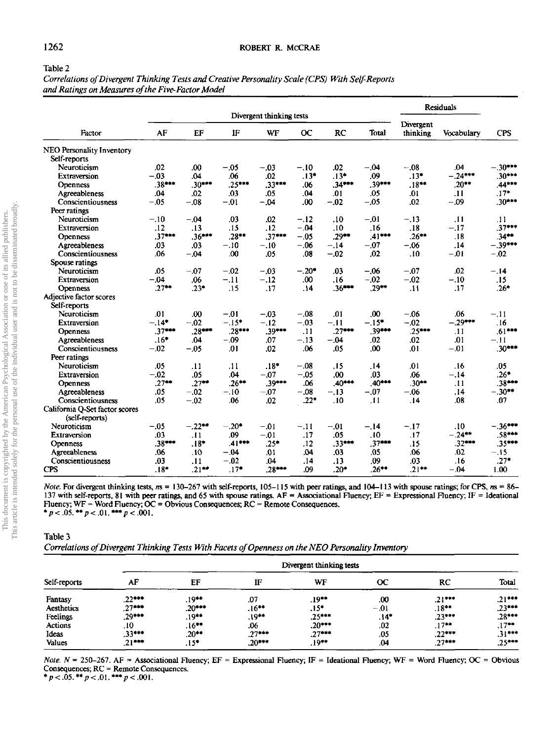# 1262 ROBERT R. McCRAE

| Table 2                                                                                         |
|-------------------------------------------------------------------------------------------------|
| Correlations of Divergent Thinking Tests and Creative Personality Scale (CPS) With Self-Reports |
| and Ratings on Measures of the Five-Factor Model                                                |

|                                  |                          |          |          |          |                  |               |                  |                       | <b>Residuals</b> |            |
|----------------------------------|--------------------------|----------|----------|----------|------------------|---------------|------------------|-----------------------|------------------|------------|
|                                  | Divergent thinking tests |          |          |          |                  |               |                  |                       |                  |            |
| Factor                           | AF                       | EF       | IF       | WF       | OC               | RC            | Total            | Divergent<br>thinking | Vocabulary       | <b>CPS</b> |
| NEO Personality Inventory        |                          |          |          |          |                  |               |                  |                       |                  |            |
| Self-reports                     |                          |          |          |          |                  |               |                  |                       |                  |            |
| Neuroticism                      | .02                      | .00.     | $-.05$   | $-.03$   | $-.10$           | .02           | $-.04$           | $-.08$                | .04              | $-.30***$  |
| Extraversion                     | $-.03$                   | .04      | .06      | .02      | $.13*$           | $.13*$        | .09              | $.13*$                | $-.24***$        | $.30***$   |
| <b>Openness</b>                  | $.38***$                 | $.30***$ | $.25***$ | $.33***$ | .06              | $.34***$      | .39***           | $.18***$              | $.20***$         | $.44***$   |
| Agreeableness                    | .04                      | .02      | .03      | .05      | .04              | .01           | .05              | .01                   | .11              | $.17*$     |
| Conscientiousness                | $-.05$                   | $-.08$   | $-.01$   | $-.04$   | .00              | $-.02$        | $-.05$           | .02                   | $-.09$           | $.30***$   |
| Peer ratings                     |                          |          |          |          |                  |               |                  |                       |                  |            |
| Neuroticism                      | $-.10$                   | $-.04$   | .03      | .02      | $-.12$           | .10           | $-.01$           | $-.13$                | .11              | .11        |
| Extraversion                     | .12                      | .13      | .15      | .12      | $-.04$           | .10           | .16              | .18                   | $-.17$           | $.37***$   |
| <b>Openness</b>                  | $.37***$                 | $.36***$ | $.28**$  | $.37***$ | $-.05$           | $.29***$      | $.41***$         | $.26***$              | .18              | $.34***$   |
| Agreeableness                    | .03                      | .03      | $-.10$   | $-.10$   | $-.06$           | $-.14$        | $-.07$           | $-.06$                | , 14             | $-.39***$  |
| Conscientiousness                | .06                      | $-.04$   | .00      | .05      | .08              | $-.02$        | .02              | .10                   | $-.01$           | $-.02$     |
| Spouse ratings                   |                          |          |          |          |                  |               |                  |                       |                  |            |
| Neuroticism                      | .05                      | $-.07$   | $-.02$   | $-.03$   | $-.20*$          | .03           | $-.06$           | $-.07$                | .02              | $-.14$     |
| Extraversion                     | $-.04$                   | .06      | $-.11$   | $-.12$   | .00 <sub>1</sub> | .16           | $-.02$           | $-.02$                | $-.10$           | .15        |
| <b>Openness</b>                  | $.27***$                 | $.23*$   | .15      | .17      | .14              | $.36***$      | $.29**$          | .11                   | .17              | $.26*$     |
| Adjective factor scores          |                          |          |          |          |                  |               |                  |                       |                  |            |
| Self-reports                     |                          |          |          |          |                  |               |                  |                       |                  |            |
| Neuroticism                      | .01                      | 00       | $-.01$   | $-.03$   | $-.08$           | .01           | .00 <sub>1</sub> | $-.06$                | .06              | $-.11$     |
| Extraversion                     | $-.14*$                  | $-.02$   | $-.15*$  | $-.12$   | $-.03$           | $-.11$        | $-.15*$          | $-.02$                | $-29***$         | .16        |
| Openness                         | $.37***$                 | $.28***$ | $.28***$ | $.39***$ | .11              | $.27***$      | $.39***$         | $.25***$              | .11              | $.61***$   |
| Agreeableness                    | $.16*$                   | .04      | $-.09$   | .07      | $-.13$           | $-.04$        | .02              | .02                   | .01              | $-.11$     |
| Conscientiousness                | $-.02$                   | $-.05$   | .01      | .02      | .06              | .05           | .00 <sub>1</sub> | .01                   | $-.01$           | $.30***$   |
| Peer ratings                     |                          |          |          |          |                  |               |                  |                       |                  |            |
| Neuroticism                      | .05                      | .11      | .11      | $.18*$   | $-.08$           | .15           | .14              | .01                   | .16              | .05        |
| Extraversion                     | $-.02$                   | .05      | .04      | $-.07$   | $-.05$           | .00           | .03              | .06                   | $-.14$           | $.26*$     |
|                                  | $.27***$                 | $.27***$ | $.26***$ | .39***   | .06              | $.40***$      | $.40***$         | $.30***$              | .11              | $.38***$   |
| <b>Openness</b><br>Agreeableness | .05                      | $-.02$   | $-.10$   | $-.07$   | $-.08$           |               | $-.07$           | $-.06$                | .14              | $-.30***$  |
| Conscientiousness                | .05                      | $-.02$   | .06      |          | $.22*$           | $-.13$<br>.10 | .11              | .14                   | .08              | .07        |
|                                  |                          |          |          | .02      |                  |               |                  |                       |                  |            |
| California Q-Set factor scores   |                          |          |          |          |                  |               |                  |                       |                  |            |
| (self-reports)                   |                          |          |          |          |                  |               |                  |                       |                  |            |
| Neuroticism                      | $-.05$                   | $-.22**$ | $-.20*$  | $-.01$   | $-.11$           | $-.01$        | $-.14$           | $-.17$                | .10              | $-.36***$  |
| <b>Extraversion</b>              | .03                      | .11      | .09      | $-0.01$  | .17              | .05           | .10              | .17                   | $-.24***$        | $.58***$   |
| Openness                         | $.38***$                 | $.18*$   | $.41***$ | $.25*$   | .12              | $.33***$      | $.37***$         | .15                   | $.32***$         | $.35***$   |
| Agreeableness                    | .06                      | .10      | $-.04$   | .01      | .04              | .03           | .05              | .06                   | .02              | $-.15$     |
| Conscientiousness                | .03                      | .11      | $-.02$   | .04      | .14              | .13           | .09              | .03                   | .16              | $.27*$     |
| <b>CPS</b>                       | $.18*$                   | $.21***$ | $.17*$   | $.28***$ | .09              | $.20*$        | $.26***$         | $.21***$              | $-.04$           | 1.00       |

*Note.* For divergent thinking tests,  $ms = 130-267$  with self-reports, 105-115 with peer ratings, and 104-113 with spouse ratings; for CPS,  $ms = 86-$ 137 with self-reports, 81 with peer ratings, and 65 with spouse ratings. AF = Associational Fluency; EF = Expressional Fluency; IF = Ideational Fluency; WF = Word Fluency; OC = Obvious Consequences; RC = Remote Consequences. \*  $p < .05$ . \*\*  $p < .01$ . \*\*\*  $p < .001$ .

| Table 3                                                                                           |  |
|---------------------------------------------------------------------------------------------------|--|
| Correlations of Divergent Thinking Tests With Facets of Openness on the NEO Personality Inventory |  |

| Self-reports   | Divergent thinking tests |          |          |          |          |          |          |  |  |
|----------------|--------------------------|----------|----------|----------|----------|----------|----------|--|--|
|                | AF                       | EF       | IF       | WF       | $\alpha$ | RC       | Total    |  |  |
| Fantasy        | $.22***$                 | $.19***$ | .07      | $.19***$ | .00      | $.21***$ | $.21***$ |  |  |
| Aesthetics     | $.27***$                 | $.20***$ | $.16***$ | $.15*$   | $-.01$   | $.18***$ | $.23***$ |  |  |
| Feelings       | $.29***$                 | $.19***$ | .19**    | $.25***$ | $.14*$   | $.23***$ | $.28***$ |  |  |
| <b>Actions</b> | .10                      | $.16***$ | .06      | $.20***$ | .02      | $.17***$ | $.17***$ |  |  |
| Ideas          | $.33***$                 | $.20**$  | $.27***$ | $.27***$ | .05      | $.22***$ | $.31***$ |  |  |
| <b>Values</b>  | $.21***$                 | $.15*$   | $.20***$ | $.19***$ | .04      | $.27***$ | $.25***$ |  |  |

*Note. N* = 250-267. AF = Associational Fluency; EF = Expressional Fluency; IF = Ideational Fluency; WF = Word Fluency; OC = Obvious Consequences; RC = Remote Consequences.

\*  $p < .05$ . \*\*  $p < .01$ . \*\*\*  $p < .001$ .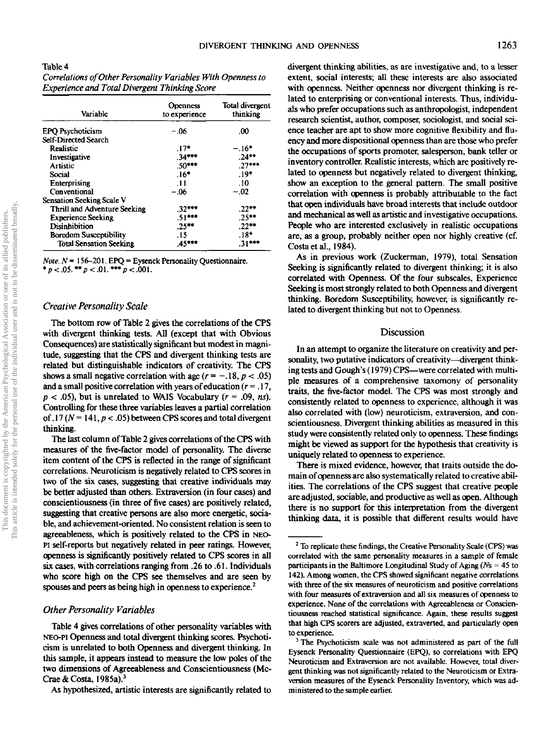| 1able 4                                                      |
|--------------------------------------------------------------|
| Correlations of Other Personality Variables With Openness to |
| <b>Experience and Total Divergent Thinking Score</b>         |

| Variable                         | <b>Openness</b><br>to experience | <b>Total divergent</b><br>thinking |
|----------------------------------|----------------------------------|------------------------------------|
| <b>EPO Psychoticism</b>          | - 06                             | .00                                |
| Self-Directed Search             |                                  |                                    |
| Realistic                        | $.17*$                           | $-.16*$                            |
| Investigative                    | $.34***$                         | $.24***$                           |
| Artistic                         | $.50***$                         | $.27***$                           |
| Social                           | $.16*$                           | $.19*$                             |
| Enterprising                     | .11                              | .10                                |
| Conventional                     | $-.06$                           | $-.02$                             |
| <b>Sensation Seeking Scale V</b> |                                  |                                    |
| Thrill and Adventure Seeking     | $.32***$                         | $.22***$                           |
| <b>Experience Seeking</b>        | $.51***$                         | $.25***$                           |
| <b>Disinhibition</b>             | $.25***$                         | $.22***$                           |
| <b>Boredom Susceptibility</b>    | .15                              | $.18*$                             |
| <b>Total Sensation Seeking</b>   | .45***                           | $.31***$                           |
|                                  |                                  |                                    |

*Note. N* - 156-201. EPQ = Eysenck Personality Questionnaire. \* p < .05. \*\* p < .01. \*\*\* p < .001.

#### *Creative Personality Scale*

 $\overline{\phantom{a}}$  . . . .

The bottom row of Table 2 gives the correlations of the CPS with divergent thinking tests. All (except that with Obvious Consequences) are statistically significant but modest in magnitude, suggesting that the CPS and divergent thinking tests are related but distinguishable indicators of creativity. The CPS shows a small negative correlation with age  $(r = -.18, p < .05)$ and a small positive correlation with years of education *(r = .* 17, *p* < .05), but is unrelated to WAIS Vocabulary *(r =* .09, *ns).* Controlling for these three variables leaves a partial correlation of. 17 *(N =* 141, *p <* .05) between CPS scores and total divergent thinking.

The last column of Table 2 gives correlations of the CPS with measures of the five-factor model of personality. The diverse item content of the CPS is reflected in the range of significant correlations. Neuroticism is negatively related to CPS scores in two of the six cases, suggesting that creative individuals may be better adjusted than others. Extraversion (in four cases) and conscientiousness (in three of five cases) are positively related, suggesting that creative persons are also more energetic, sociable, and achievement-oriented. No consistent relation is seen to agreeableness, which is positively related to the CPS in NEO-PI self-reports but negatively related in peer ratings. However, openness is significantly positively related to CPS scores in all six cases, with correlations ranging from .26 to .61. Individuals who score high on the CPS see themselves and are seen by spouses and peers as being high in openness to experience.<sup>2</sup>

# *Other Personality Variables*

divergent thinking abilities, as are investigative and, to a lesser extent, social interests; all these interests are also associated with openness. Neither openness nor divergent thinking is related to enterprising or conventional interests. Thus, individuals who prefer occupations such as anthropologist, independent research scientist, author, composer, sociologist, and social science teacher are apt to show more cognitive flexibility and fluency and more dispositional openness than are those who prefer the occupations of sports promoter, salesperson, bank teller or inventory controller. Realistic interests, which are positively related to openness but negatively related to divergent thinking, show an exception to the general pattern. The small positive correlation with openness is probably attributable to the fact that open individuals have broad interests that include outdoor and mechanical as well as artistic and investigative occupations. People who are interested exclusively in realistic occupations are, as a group, probably neither open nor highly creative (cf. Costa et al., 1984).

As in previous work (Zuckerman, 1979), total Sensation Seeking is significantly related to divergent thinking; it is also correlated with Openness. Of the four subscales, Experience Seeking is most strongly related to both Openness and divergent thinking. Boredom Susceptibility, however, is significantly related to divergent thinking but not to Openness.

# Discussion

In an attempt to organize the literature on creativity and personality, two putative indicators of creativity—divergent thinking tests and Cough's (1979) CPS—were correlated with multiple measures of a comprehensive taxomony of personality traits, the five-factor model. The CPS was most strongly and consistently related to openness to experience, although it was also correlated with (low) neuroticism, extraversion, and conscientiousness. Divergent thinking abilities as measured in this study were consistently related only to openness. These findings might be viewed as support for the hypothesis that creativity is uniquely related to openness to experience.

There is mixed evidence, however, that traits outside the domain of openness are also systematically related to creative abilities. The correlations of the CPS suggest that creative people are adjusted, sociable, and productive as well as open. Although there is no support for this interpretation from the divergent thinking data, it is possible that different results would have

Table 4 gives correlations of other personality variables with NEO-PI Openness and total divergent thinking scores. Psychoticism is unrelated to both Openness and divergent thinking. In this sample, it appears instead to measure the low poles of the two dimensions of Agreeableness and Conscientiousness (Mc-Crae & Costa,  $1985a$ ).<sup>3</sup>

As hypothesized, artistic interests are significantly related to

<sup>!</sup> To replicate these findings, the Creative Personality Scale (CPS) was correlated with the same personality measures in a sample of female participants in the Baltimore Longitudinal Study of Aging ( $N<sub>S</sub> = 45$  to 142). Among women, the CPS showed significant negative correlations with three of the six measures of neuroticism and positive correlations with four measures of extraversion and all six measures of openness to experience. None of the correlations with Agreeableness or Conscientiousness reached statistical significance. Again, these results suggest that high CPS scorers are adjusted, extraverted, and particularly open to experience

<sup>&</sup>lt;sup>3</sup> The Psychoticism scale was not administered as part of the full Eysenck Personality Questionnaire (EPQ), so correlations with EPQ Neuroticism and Extraversion are not available. However, total divergent thinking was not significantly related to the Neuroticism or Extraversion measures of the Eysenck Personality Inventory, which was administered to the sample earlier.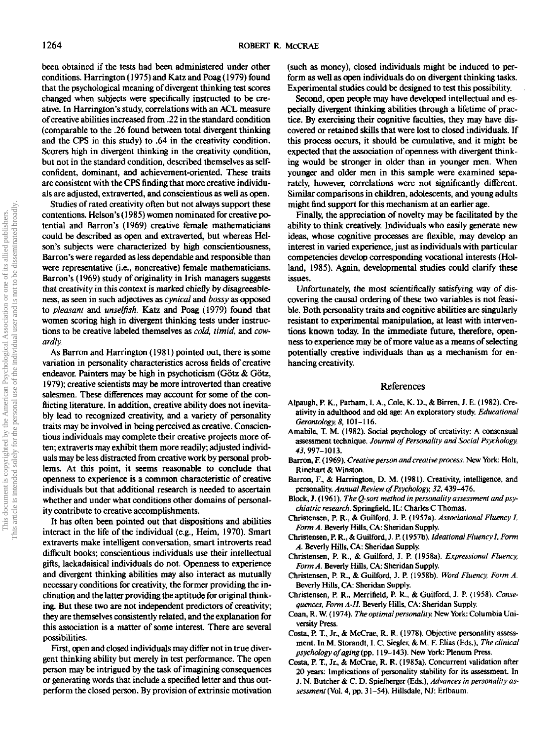been obtained if the tests had been administered under other conditions. Harrington (1975) and Katz and Poag(1979) found that the psychological meaning of divergent thinking test scores changed when subjects were specifically instructed to be creative. In Harrington's study, correlations with an ACL measure of creative abilities increased from .22 in the standard condition (comparable to the .26 found between total divergent thinking and the CPS in this study) to .64 in the creativity condition. Scorers high in divergent thinking in the creativity condition, but not in the standard condition, described themselves as selfconfident, dominant, and achievement-oriented. These traits are consistent with the CPS finding that more creative individuals are adjusted, extraverted, and conscientious as well as open.

Studies of rated creativity often but not always support these contentions. Kelson's (1985) women nominated for creative potential and Barren's (1969) creative female mathematicians could be described as open and extraverted, but whereas Helson's subjects were characterized by high conscientiousness, Barren's were regarded as less dependable and responsible than were representative (i.e., noncreative) female mathematicians. Barren's (1969) study of originality in Irish managers suggests that creativity in this context is marked chiefly by disagreeableness, as seen in such adjectives as *cynical* and *bossy* as opposed to *pleasant* and *unselfish.* Katz and Poag (1979) found that women scoring high in divergent thinking tests under instructions to be creative labeled themselves as *cold, timid,* and *cowardly.*

As Barron and Harrington (1981) pointed out, there is some variation in personality characteristics across fields of creative endeavor. Painters may be high in psychoticism (Götz & Götz, 1979); creative scientists may be more introverted than creative salesmen. These differences may account for some of the conflicting literature. In addition, creative ability does not inevitably lead to recognized creativity, and a variety of personality traits may be involved in being perceived as creative. Conscientious individuals may complete their creative projects more often; extraverts may exhibit them more readily; adjusted individuals may be less distracted from creative work by personal problems. At this point, it seems reasonable to conclude that openness to experience is a common characteristic of creative individuals but that additional research is needed to ascertain whether and under what conditions other domains of personality contribute to creative accomplishments.

It has often been pointed out that dispositions and abilities interact in the life of the individual (e.g., Heim, 1970). Smart extraverts make intelligent conversation, smart introverts read difficult books; conscientious individuals use their intellectual gifts, lackadaisical individuals do not. Openness to experience and divergent thinking abilities may also interact as mutually necessary conditions for creativity, the former providing the inclination and the latter providing the aptitude for original thinking. But these two are not independent predictors of creativity; they are themselves consistently related, and the explanation for this association is a matter of some interest. There are several possibilities.

First, open and closed individuals may differ not in true divergent thinking ability but merely in test performance. The open person may be intrigued by the task of imagining consequences or generating words that include a specified letter and thus outperform the closed person. By provision of extrinsic motivation (such as money), closed individuals might be induced to perform as well as open individuals do on divergent thinking tasks. Experimental studies could be designed to test this possibility.

Second, open people may have developed intellectual and especially divergent thinking abilities through a lifetime of practice. By exercising their cognitive faculties, they may have discovered or retained skills that were lost to closed individuals. If this process occurs, it should be cumulative, and it might be expected that the association of openness with divergent thinking would be stronger in older than in younger men. When younger and older men in this sample were examined separately, however, correlations were not significantly different. Similar comparisons in children, adolescents, and young adults might find support for this mechanism at an earlier age.

Finally, the appreciation of novelty may be facilitated by the ability to think creatively. Individuals who easily generate new ideas, whose cognitive processes are flexible, may develop an interest in varied experience, just as individuals with particular competencies develop corresponding vocational interests (Holland, 1985). Again, developmental studies could clarify these issues.

Unfortunately, the most scientifically satisfying way of discovering the causal ordering of these two variables is not feasible. Both personality traits and cognitive abilities are singularly resistant to experimental manipulation, at least with interventions known today. In the immediate future, therefore, openness to experience may be of more value as a means of selecting potentially creative individuals than as a mechanism for enhancing creativity.

#### References

- Alpaugh, P. K., Parham, I. A., Cole, K. D., & Birren, J. E. (1982). Creativity in adulthood and old age: An exploratory study. *Educational Gerontology, S,* 101-116.
- Amabile, T. M. (1982). Social psychology of creativity: A consensual assessment technique. *Journal of Personality and Social Psychology, 43,* 997-1013.
- Barron, F. (1969). *Creative person and creative process.* New York: Holt, Rinehart & Winston.
- Barron, E, *&* Harrington, D. M. (1981). Creativity, intelligence, and personality. *Annual Review of Psychology, 32,* 439-476.
- Block, J. (1961). *The Q-sort method in personality assessment and psychiatric research.* Springfield, IL: Charles C Thomas.
- Christensen, P. R., & Guilford, J. P. (1957a). *Associational Fluency I, Form A.* Beverly Hills, CA: Sheridan Supply.
- Christensen, P. R., & Guilford, J. P. (1957b). *Ideational Fluency I. Form A.* Beverly Hills, CA: Sheridan Supply.
- Christensen, P. R., & Guilford, J. P. (I958a). *Expressional Fluency, Form A.* Beverly Hills, CA: Sheridan Supply.
- Christensen, P. R., & Guilford, J. P. (1958b). *Word Fluency, Form A.* Beverly Hills, CA: Sheridan Supply.
- Christensen, P. R., Merrifield, P. R., & Guilford, J. P. (1958). *Consequences, Form A-II.* Beverly Hills, CA: Sheridan Supply.
- Coan, R. W. (1974). *The optimal personality.* New York: Columbia University Press.
- Costa, P. T., Jr., & McCrae, R. R. (1978). Objective personality assessment. In M. Storandt, I. C. Siegler, & M. F. Elias (Eds.), *The clinical psychology of aging (pp.* 119-143). New York: Plenum Press.
- Costa, P. T., Jr., & McCrae, R. R. (1985a). Concurrent validation after 20 years: Implications of personality stability for its assessment. In J. N. Butcher & C. D. Spielbeiger (Eds.), *Advances in personality assessment* (Vol. 4, pp. 31-54). Hillsdale, NJ: Erlbaum.